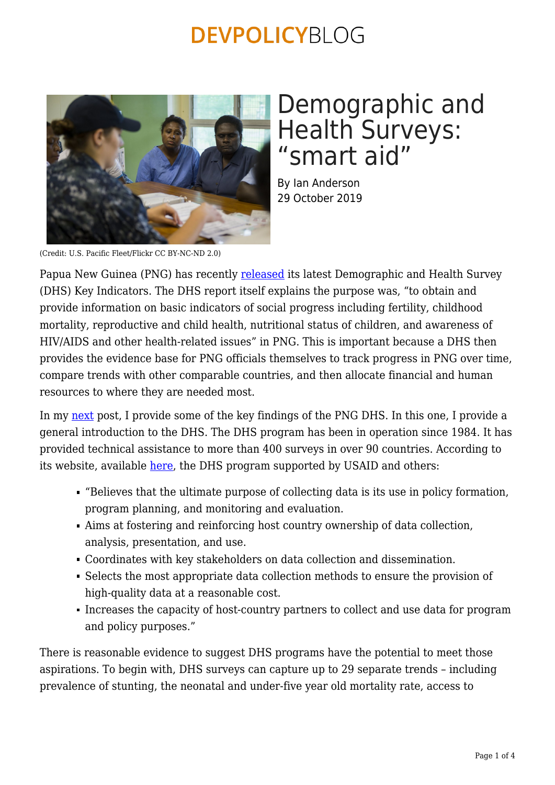

# Demographic and Health Surveys: "smart aid"

By Ian Anderson 29 October 2019

(Credit: U.S. Pacific Fleet/Flickr CC BY-NC-ND 2.0)

Papua New Guinea (PNG) has recently [released](https://www.google.com/url?sa=t&rct=j&q=&esrc=s&source=web&cd=1&ved=2ahUKEwjUyJTuoqrlAhUjH7cAHahpBmgQFjAAegQIAhAC&url=http%3A%2F%2Fwww.nso.gov.pg%2Fimages%2FDHS2016_2018%2FPNG_DHS2016-2018_KIR.pdf&usg=AOvVaw2LiDWf6WEfqHZwC3T-Vvot) its latest Demographic and Health Survey (DHS) Key Indicators. The DHS report itself explains the purpose was, "to obtain and provide information on basic indicators of social progress including fertility, childhood mortality, reproductive and child health, nutritional status of children, and awareness of HIV/AIDS and other health-related issues" in PNG. This is important because a DHS then provides the evidence base for PNG officials themselves to track progress in PNG over time, compare trends with other comparable countries, and then allocate financial and human resources to where they are needed most.

In my [next](https://devpolicy.org/new-health-statistics-for-png-20191031/) post, I provide some of the key findings of the PNG DHS. In this one, I provide a general introduction to the DHS. The DHS program has been in operation since 1984. It has provided technical assistance to more than 400 surveys in over 90 countries. According to its website, available [here,](https://www.dhsprogram.com/Who-We-Are/About-Us.cfm) the DHS program supported by USAID and others:

- "Believes that the ultimate purpose of collecting data is its use in policy formation, program planning, and monitoring and evaluation.
- Aims at fostering and reinforcing host country ownership of data collection, analysis, presentation, and use.
- Coordinates with key stakeholders on data collection and dissemination.
- Selects the most appropriate data collection methods to ensure the provision of high-quality data at a reasonable cost.
- Increases the capacity of host-country partners to collect and use data for program and policy purposes."

There is reasonable evidence to suggest DHS programs have the potential to meet those aspirations. To begin with, DHS surveys can capture up to 29 separate trends – including prevalence of stunting, the neonatal and under-five year old mortality rate, access to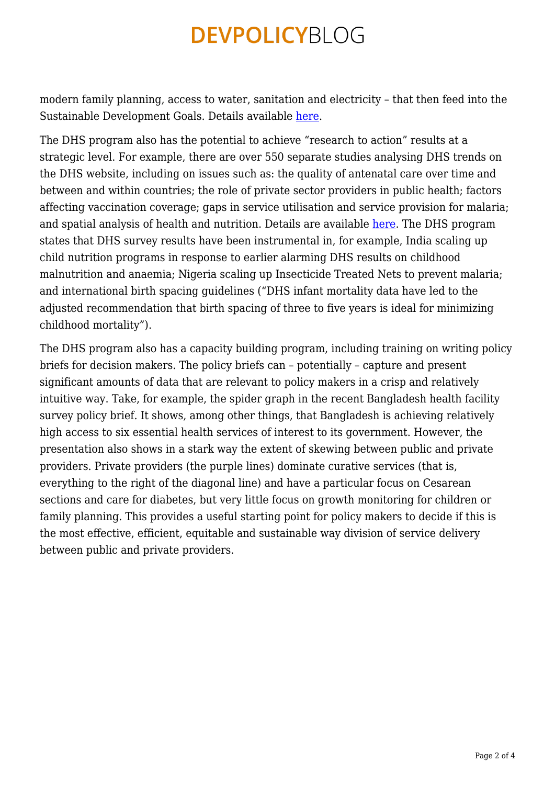modern family planning, access to water, sanitation and electricity – that then feed into the Sustainable Development Goals. Details available [here](https://dhsprogram.com/What-We-Do/Survey-Types/DHS.cfm).

The DHS program also has the potential to achieve "research to action" results at a strategic level. For example, there are over 550 separate studies analysing DHS trends on the DHS website, including on issues such as: the quality of antenatal care over time and between and within countries; the role of private sector providers in public health; factors affecting vaccination coverage; gaps in service utilisation and service provision for malaria; and spatial analysis of health and nutrition. Details are available [here.](https://www.dhsprogram.com/search/index.cfm?itemsperpage=100&bydoctype=publication&bypubtype=4%2C6%2C9%2C11%2C12%2C15%2C16%2C18%2C27%2C45%2C48%2C200&_srchd=1) The DHS program states that DHS survey results have been instrumental in, for example, India scaling up child nutrition programs in response to earlier alarming DHS results on childhood malnutrition and anaemia; Nigeria scaling up Insecticide Treated Nets to prevent malaria; and international birth spacing guidelines ("DHS infant mortality data have led to the adjusted recommendation that birth spacing of three to five years is ideal for minimizing childhood mortality").

The DHS program also has a capacity building program, including training on writing policy briefs for decision makers. The policy briefs can – potentially – capture and present significant amounts of data that are relevant to policy makers in a crisp and relatively intuitive way. Take, for example, the spider graph in the recent Bangladesh health facility survey policy brief. It shows, among other things, that Bangladesh is achieving relatively high access to six essential health services of interest to its government. However, the presentation also shows in a stark way the extent of skewing between public and private providers. Private providers (the purple lines) dominate curative services (that is, everything to the right of the diagonal line) and have a particular focus on Cesarean sections and care for diabetes, but very little focus on growth monitoring for children or family planning. This provides a useful starting point for policy makers to decide if this is the most effective, efficient, equitable and sustainable way division of service delivery between public and private providers.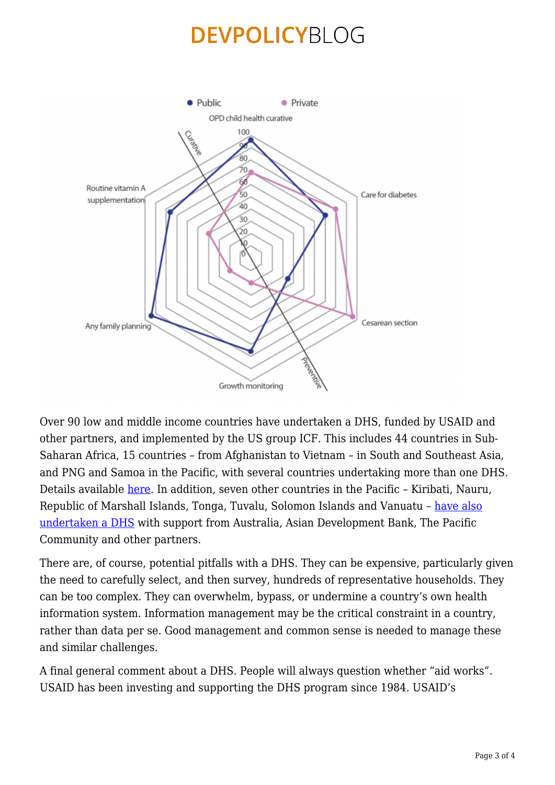

Over 90 low and middle income countries have undertaken a DHS, funded by USAID and other partners, and implemented by the US group ICF. This includes 44 countries in Sub-Saharan Africa, 15 countries – from Afghanistan to Vietnam – in South and Southeast Asia, and PNG and Samoa in the Pacific, with several countries undertaking more than one DHS. Details available [here.](https://dhsprogram.com/Where-We-Work/#activeType=_all&printStyle=false&mLon=12.8&mLat=11.7&mLev=2&title=Where%20We%20Work&desc=) In addition, seven other countries in the Pacific – Kiribati, Nauru, Republic of Marshall Islands, Tonga, Tuvalu, Solomon Islands and Vanuatu – [have also](https://sdd.spc.int/topic/demographic-and-health-surveys) [undertaken a DHS](https://sdd.spc.int/topic/demographic-and-health-surveys) with support from Australia, Asian Development Bank, The Pacific Community and other partners.

There are, of course, potential pitfalls with a DHS. They can be expensive, particularly given the need to carefully select, and then survey, hundreds of representative households. They can be too complex. They can overwhelm, bypass, or undermine a country's own health information system. Information management may be the critical constraint in a country, rather than data per se. Good management and common sense is needed to manage these and similar challenges.

A final general comment about a DHS. People will always question whether "aid works". USAID has been investing and supporting the DHS program since 1984. USAID's